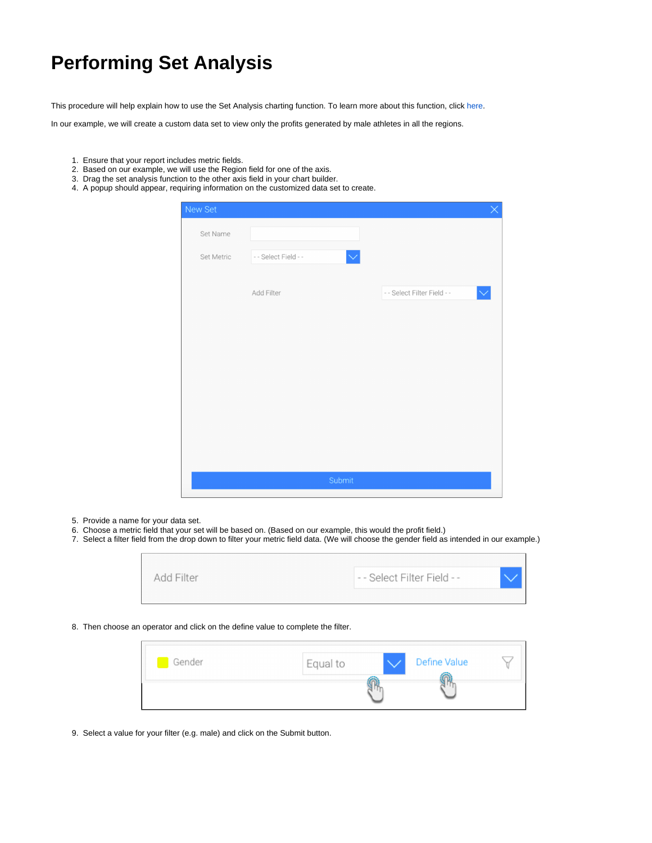## **Performing Set Analysis**

This procedure will help explain how to use the Set Analysis charting function. To learn more about this function, click [here.](https://wiki.yellowfinbi.com/display/USER74/Chart+Functions#ChartFunctions-setanalysis)

In our example, we will create a custom data set to view only the profits generated by male athletes in all the regions.

- 1. Ensure that your report includes metric fields.
- 2. Based on our example, we will use the Region field for one of the axis.
- 3. Drag the set analysis function to the other axis field in your chart builder.
- 4. A popup should appear, requiring information on the customized data set to create.

| New Set    |                      |              |                             | $\times$ |
|------------|----------------------|--------------|-----------------------------|----------|
| Set Name   |                      |              |                             |          |
| Set Metric | - - Select Field - - | $\checkmark$ |                             |          |
|            | Add Filter           |              | - - Select Filter Field - - |          |
|            |                      |              |                             |          |
|            |                      |              |                             |          |
|            |                      |              |                             |          |
|            |                      |              |                             |          |
|            |                      |              |                             |          |
|            |                      |              |                             |          |
|            |                      | Submit       |                             |          |

5. Provide a name for your data set.

 $\overline{ }$ 

- 6. Choose a metric field that your set will be based on. (Based on our example, this would the profit field.)
- 7. Select a filter field from the drop down to filter your metric field data. (We will choose the gender field as intended in our example.)

| Add Filter | -- Select Filter Field -- |  |
|------------|---------------------------|--|
|            |                           |  |

8. Then choose an operator and click on the define value to complete the filter.

| Gender | Equal to | Define Value |  |
|--------|----------|--------------|--|
|        |          |              |  |

9. Select a value for your filter (e.g. male) and click on the Submit button.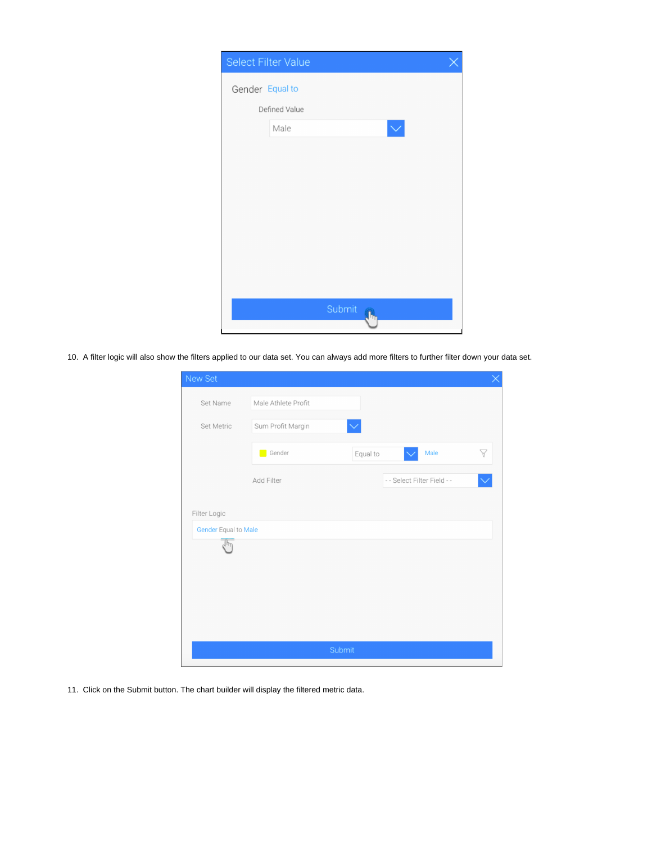|                 | Select Filter Value  |  |  |  |
|-----------------|----------------------|--|--|--|
| Gender Equal to |                      |  |  |  |
| Defined Value   |                      |  |  |  |
|                 | Male<br>$\checkmark$ |  |  |  |
|                 |                      |  |  |  |
|                 |                      |  |  |  |
|                 |                      |  |  |  |
|                 |                      |  |  |  |
|                 |                      |  |  |  |
|                 |                      |  |  |  |
|                 |                      |  |  |  |
|                 | Submit               |  |  |  |
|                 |                      |  |  |  |

10. A filter logic will also show the filters applied to our data set. You can always add more filters to further filter down your data set.

| New Set                              |                     |              |                             |   |
|--------------------------------------|---------------------|--------------|-----------------------------|---|
| Set Name                             | Male Athlete Profit |              |                             |   |
| Set Metric                           | Sum Profit Margin   | $\checkmark$ |                             |   |
|                                      | Gender              | Equal to     | Male                        | Y |
|                                      | Add Filter          |              | - - Select Filter Field - - |   |
| Filter Logic<br>Gender Equal to Male |                     |              |                             |   |
|                                      |                     |              |                             |   |
|                                      |                     |              |                             |   |
|                                      |                     |              |                             |   |
|                                      |                     |              |                             |   |
|                                      |                     | Submit       |                             |   |

11. Click on the Submit button. The chart builder will display the filtered metric data.